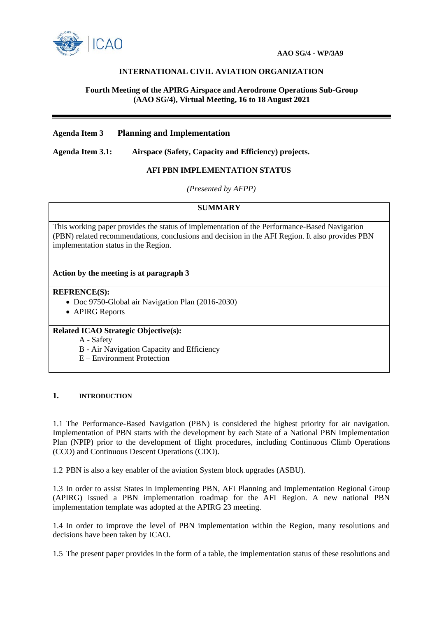

# **INTERNATIONAL CIVIL AVIATION ORGANIZATION**

## **Fourth Meeting of the APIRG Airspace and Aerodrome Operations Sub-Group (AAO SG/4), Virtual Meeting, 16 to 18 August 2021**

# **Agenda Item 3 Planning and Implementation**

**Agenda Item 3.1: Airspace (Safety, Capacity and Efficiency) projects.**

## **AFI PBN IMPLEMENTATION STATUS**

*(Presented by AFPP)*

## **SUMMARY**

This working paper provides the status of implementation of the Performance-Based Navigation (PBN) related recommendations, conclusions and decision in the AFI Region. It also provides PBN implementation status in the Region.

## **Action by the meeting is at paragraph 3**

#### **REFRENCE(S):**

- Doc 9750-Global air Navigation Plan (2016-2030)
- APIRG Reports

## **Related ICAO Strategic Objective(s):**

- A Safety
- B Air Navigation Capacity and Efficiency
- E Environment Protection

#### **1. INTRODUCTION**

1.1 The Performance-Based Navigation (PBN) is considered the highest priority for air navigation. Implementation of PBN starts with the development by each State of a National PBN Implementation Plan (NPIP) prior to the development of flight procedures, including Continuous Climb Operations (CCO) and Continuous Descent Operations (CDO).

1.2 PBN is also a key enabler of the aviation System block upgrades (ASBU).

1.3 In order to assist States in implementing PBN, AFI Planning and Implementation Regional Group (APIRG) issued a PBN implementation roadmap for the AFI Region. A new national PBN implementation template was adopted at the APIRG 23 meeting.

1.4 In order to improve the level of PBN implementation within the Region, many resolutions and decisions have been taken by ICAO.

1.5 The present paper provides in the form of a table, the implementation status of these resolutions and